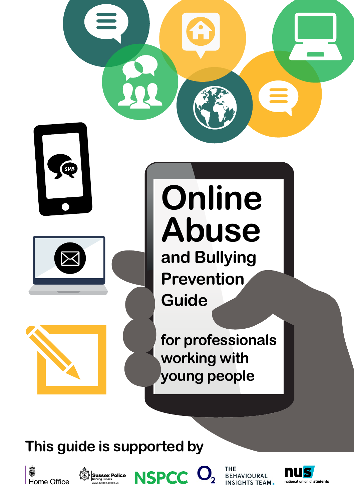

# **This guide is supported by**







**BEHAVIOURAL SIGHTS TEAM.** 

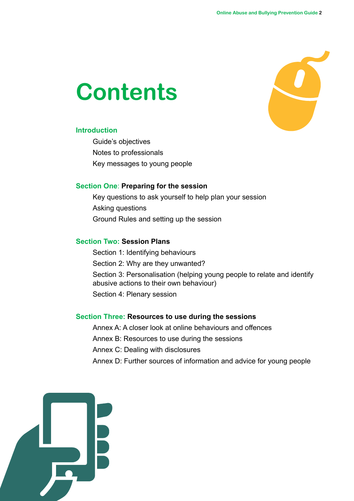# **Contents**



#### **Introduction**

Guide's objectives Notes to professionals Key messages to young people

#### **Section One**: **Preparing for the session**

Key questions to ask yourself to help plan your session Asking questions Ground Rules and setting up the session

#### **Section Two: Session Plans**

Section 1: Identifying behaviours Section 2: Why are they unwanted? Section 3: Personalisation (helping young people to relate and identify abusive actions to their own behaviour) Section 4: Plenary session

#### **Section Three: Resources to use during the sessions**

Annex A: A closer look at online behaviours and offences

Annex B: Resources to use during the sessions

- Annex C: Dealing with disclosures
- Annex D: Further sources of information and advice for young people

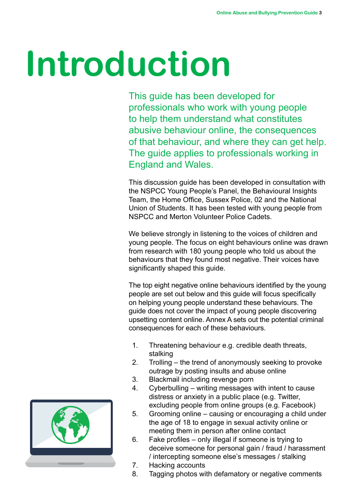# **Introduction**

This guide has been developed for professionals who work with young people to help them understand what constitutes abusive behaviour online, the consequences of that behaviour, and where they can get help. The guide applies to professionals working in England and Wales.

This discussion guide has been developed in consultation with the NSPCC Young People's Panel, the Behavioural Insights Team, the Home Office, Sussex Police, 02 and the National Union of Students. It has been tested with young people from NSPCC and Merton Volunteer Police Cadets.

We believe strongly in listening to the voices of children and young people. The focus on eight behaviours online was drawn from research with 180 young people who told us about the behaviours that they found most negative. Their voices have significantly shaped this guide.

The top eight negative online behaviours identified by the young people are set out below and this guide will focus specifically on helping young people understand these behaviours. The guide does not cover the impact of young people discovering upsetting content online. Annex A sets out the potential criminal consequences for each of these behaviours.

- 1. Threatening behaviour e.g. credible death threats, stalking
- 2. Trolling the trend of anonymously seeking to provoke outrage by posting insults and abuse online
- 3. Blackmail including revenge porn
- 4. Cyberbulling writing messages with intent to cause distress or anxiety in a public place (e.g. Twitter, excluding people from online groups (e.g. Facebook)
- 5. Grooming online causing or encouraging a child under the age of 18 to engage in sexual activity online or meeting them in person after online contact
- 6. Fake profiles only illegal if someone is trying to deceive someone for personal gain / fraud / harassment / intercepting someone else's messages / stalking
- 7. Hacking accounts
- 8. Tagging photos with defamatory or negative comments

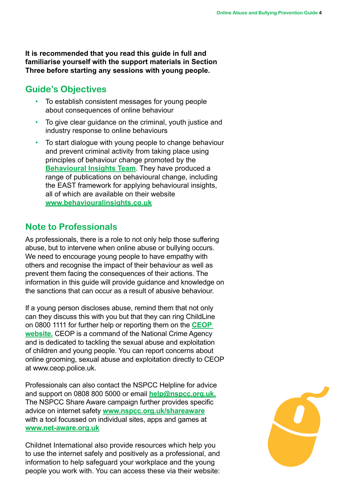**It is recommended that you read this guide in full and familiarise yourself with the support materials in Section Three before starting any sessions with young people.**

## **Guide's Objectives**

- To establish consistent messages for young people about consequences of online behaviour
- To give clear quidance on the criminal, youth justice and industry response to online behaviours
- To start dialogue with young people to change behaviour and prevent criminal activity from taking place using principles of behaviour change promoted by the **[Behavioural Insights Team](http://www.behaviouralinsights.co.uk)**. They have produced a range of publications on behavioural change, including the EAST framework for applying behavioural insights, all of which are available on their website **<www.behaviouralinsights.co.uk>**

## **Note to Professionals**

As professionals, there is a role to not only help those suffering abuse, but to intervene when online abuse or bullying occurs. We need to encourage young people to have empathy with others and recognise the impact of their behaviour as well as prevent them facing the consequences of their actions. The information in this guide will provide guidance and knowledge on the sanctions that can occur as a result of abusive behaviour.

If a young person discloses abuse, remind them that not only can they discuss this with you but that they can ring ChildLine on 0800 1111 for further help or reporting them on the **[CEOP](http://www.ceop.police.uk/)  [website.](http://www.ceop.police.uk/)** CEOP is a command of the National Crime Agency and is dedicated to tackling the sexual abuse and exploitation of children and young people. You can report concerns about online grooming, sexual abuse and exploitation directly to CEOP at www.ceop.police.uk.

Professionals can also contact the NSPCC Helpline for advice and support on 0808 800 5000 or email **[help@nspcc.org.uk.](help@nspcc.org.uk)** The NSPCC Share Aware campaign further provides specific advice on internet safety **<www.nspcc.org.uk/shareaware>** with a tool focussed on individual sites, apps and games at **[www.net-aware.org.uk](www.net-aware.org.uk )**

Childnet International also provide resources which help you to use the internet safely and positively as a professional, and information to help safeguard your workplace and the young people you work with. You can access these via their website:

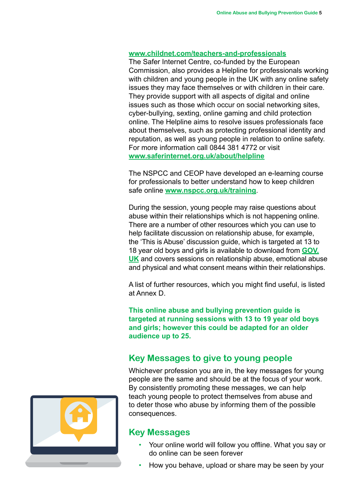#### **<www.childnet.com/teachers-and-professionals>**

The Safer Internet Centre, co-funded by the European Commission, also provides a Helpline for professionals working with children and young people in the UK with any online safety issues they may face themselves or with children in their care. They provide support with all aspects of digital and online issues such as those which occur on social networking sites, cyber-bullying, sexting, online gaming and child protection online. The Helpline aims to resolve issues professionals face about themselves, such as protecting professional identity and reputation, as well as young people in relation to online safety. For more information call 0844 381 4772 or visit **[www.saferinternet.org.uk/about/helpline](www.saferinternet.org.uk/about/helpline
)**

The NSPCC and CEOP have developed an e-learning course for professionals to better understand how to keep children safe online **<www.nspcc.org.uk/training>**.

During the session, young people may raise questions about abuse within their relationships which is not happening online. There are a number of other resources which you can use to help facilitate discussion on relationship abuse, for example, the 'This is Abuse' discussion guide, which is targeted at 13 to 18 year old boys and girls is available to download from **[GOV.](https://www.gov.uk/government/publications/this-is-abuse-discussion-guide) [UK](https://www.gov.uk/government/publications/this-is-abuse-discussion-guide)** and covers sessions on relationship abuse, emotional abuse and physical and what consent means within their relationships.

A list of further resources, which you might find useful, is listed at Annex D.

**This online abuse and bullying prevention guide is targeted at running sessions with 13 to 19 year old boys and girls; however this could be adapted for an older audience up to 25.**

### **Key Messages to give to young people**

Whichever profession you are in, the key messages for young people are the same and should be at the focus of your work. By consistently promoting these messages, we can help teach young people to protect themselves from abuse and to deter those who abuse by informing them of the possible consequences.

### **Key Messages**

- Your online world will follow you offline. What you say or do online can be seen forever
- How you behave, upload or share may be seen by your

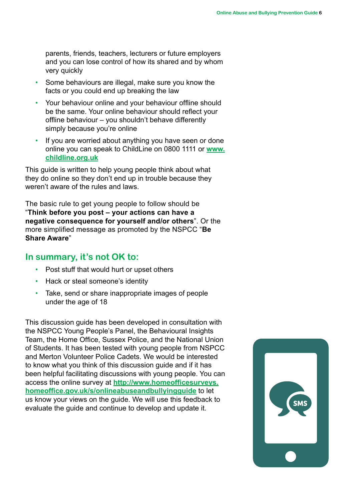parents, friends, teachers, lecturers or future employers and you can lose control of how its shared and by whom very quickly

- Some behaviours are illegal, make sure you know the facts or you could end up breaking the law
- Your behaviour online and your behaviour offline should be the same. Your online behaviour should reflect your offline behaviour – you shouldn't behave differently simply because you're online
- If you are worried about anything you have seen or done online you can speak to ChildLine on 0800 1111 or **[www.](www.childline.org.uk) [childline.org.uk](www.childline.org.uk)**

This guide is written to help young people think about what they do online so they don't end up in trouble because they weren't aware of the rules and laws.

The basic rule to get young people to follow should be "**Think before you post – your actions can have a negative consequence for yourself and/or others**". Or the more simplified message as promoted by the NSPCC "**Be Share Aware**"

### **In summary, it's not OK to:**

- Post stuff that would hurt or upset others
- Hack or steal someone's identity
- Take, send or share inappropriate images of people under the age of 18

This discussion guide has been developed in consultation with the NSPCC Young People's Panel, the Behavioural Insights Team, the Home Office, Sussex Police, and the National Union of Students. It has been tested with young people from NSPCC and Merton Volunteer Police Cadets. We would be interested to know what you think of this discussion guide and if it has been helpful facilitating discussions with young people. You can access the online survey at **[http://www.homeofficesurveys.](http://www.homeofficesurveys.homeoffice.gov.uk/s/onlineabuseandbullyingguide) [homeoffice.gov.uk/s/onlineabuseandbullyingguide](http://www.homeofficesurveys.homeoffice.gov.uk/s/onlineabuseandbullyingguide)** to let us know your views on the guide. We will use this feedback to evaluate the guide and continue to develop and update it.

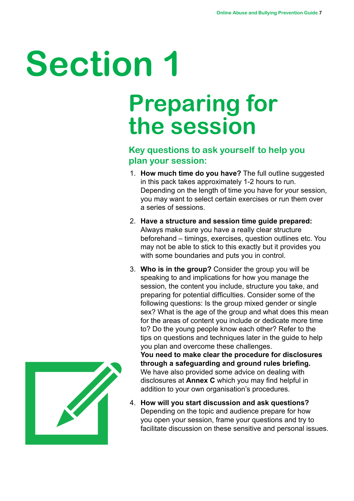# **Section 1**

# **Preparing for the session**

## **Key questions to ask yourself to help you plan your session:**

- 1. **How much time do you have?** The full outline suggested in this pack takes approximately 1-2 hours to run. Depending on the length of time you have for your session, you may want to select certain exercises or run them over a series of sessions.
- 2. **Have a structure and session time guide prepared:** Always make sure you have a really clear structure beforehand – timings, exercises, question outlines etc. You may not be able to stick to this exactly but it provides you with some boundaries and puts you in control.
- 3. **Who is in the group?** Consider the group you will be speaking to and implications for how you manage the session, the content you include, structure you take, and preparing for potential difficulties. Consider some of the following questions: Is the group mixed gender or single sex? What is the age of the group and what does this mean for the areas of content you include or dedicate more time to? Do the young people know each other? Refer to the tips on questions and techniques later in the guide to help you plan and overcome these challenges.

**You need to make clear the procedure for disclosures through a safeguarding and ground rules briefing.**  We have also provided some advice on dealing with disclosures at **Annex C** which you may find helpful in addition to your own organisation's procedures.

4. **How will you start discussion and ask questions?**  Depending on the topic and audience prepare for how you open your session, frame your questions and try to facilitate discussion on these sensitive and personal issues.

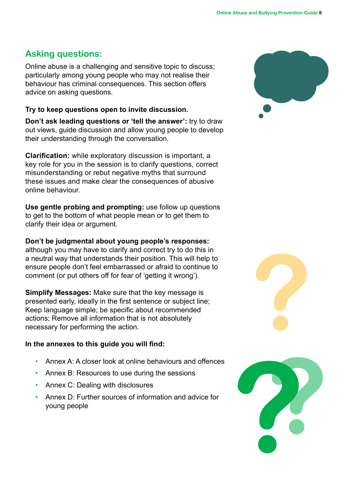# **Asking questions:**

Online abuse is a challenging and sensitive topic to discuss; particularly among young people who may not realise their behaviour has criminal consequences. This section offers advice on asking questions.

#### **Try to keep questions open to invite discussion.**

**Don't ask leading questions or 'tell the answer':** try to draw out views, guide discussion and allow young people to develop their understanding through the conversation.

**Clarification:** while exploratory discussion is important, a key role for you in the session is to clarify questions, correct misunderstanding or rebut negative myths that surround these issues and make clear the consequences of abusive online behaviour.

**Use gentle probing and prompting:** use follow up questions to get to the bottom of what people mean or to get them to clarify their idea or argument.

**Don't be judgmental about young people's responses:**  although you may have to clarify and correct try to do this in a neutral way that understands their position. This will help to ensure people don't feel embarrassed or afraid to continue to comment (or put others off for fear of 'getting it wrong').

**Simplify Messages:** Make sure that the key message is presented early, ideally in the first sentence or subject line; Keep language simple; be specific about recommended actions; Remove all information that is not absolutely necessary for performing the action.

### **In the annexes to this guide you will find:**

- Annex A: A closer look at online behaviours and offences
- Annex B: Resources to use during the sessions
- Annex C: Dealing with disclosures
- Annex D: Further sources of information and advice for





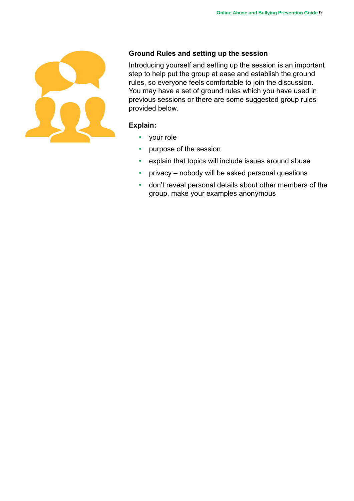

### **Ground Rules and setting up the session**

Introducing yourself and setting up the session is an important step to help put the group at ease and establish the ground rules, so everyone feels comfortable to join the discussion. You may have a set of ground rules which you have used in previous sessions or there are some suggested group rules provided below.

#### **Explain:**

- your role
- purpose of the session
- explain that topics will include issues around abuse
- privacy nobody will be asked personal questions
- don't reveal personal details about other members of the group, make your examples anonymous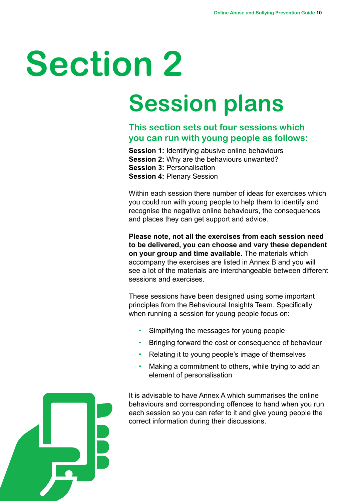# **Section 2**

# **Session plans**

## **This section sets out four sessions which you can run with young people as follows:**

**Session 1:** Identifying abusive online behaviours **Session 2:** Why are the behaviours unwanted? **Session 3:** Personalisation **Session 4:** Plenary Session

Within each session there number of ideas for exercises which you could run with young people to help them to identify and recognise the negative online behaviours, the consequences and places they can get support and advice.

**Please note, not all the exercises from each session need to be delivered, you can choose and vary these dependent on your group and time available.** The materials which accompany the exercises are listed in Annex B and you will see a lot of the materials are interchangeable between different sessions and exercises.

These sessions have been designed using some important principles from the Behavioural Insights Team. Specifically when running a session for young people focus on:

- Simplifying the messages for young people
- Bringing forward the cost or consequence of behaviour
- Relating it to young people's image of themselves
- Making a commitment to others, while trying to add an element of personalisation



It is advisable to have Annex A which summarises the online behaviours and corresponding offences to hand when you run each session so you can refer to it and give young people the correct information during their discussions.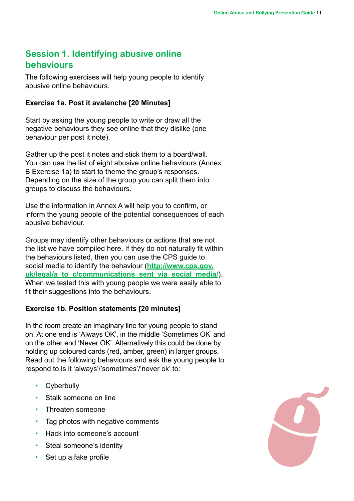# **Session 1. Identifying abusive online behaviours**

The following exercises will help young people to identify abusive online behaviours.

#### **Exercise 1a. Post it avalanche [20 Minutes]**

Start by asking the young people to write or draw all the negative behaviours they see online that they dislike (one behaviour per post it note).

Gather up the post it notes and stick them to a board/wall. You can use the list of eight abusive online behaviours (Annex B Exercise 1a) to start to theme the group's responses. Depending on the size of the group you can split them into groups to discuss the behaviours.

Use the information in Annex A will help you to confirm, or inform the young people of the potential consequences of each abusive behaviour.

Groups may identify other behaviours or actions that are not the list we have compiled here. If they do not naturally fit within the behaviours listed, then you can use the CPS guide to social media to identify the behaviour (**[http://www.cps.gov.](http://www.cps.gov.uk/legal/a_to_c/communications_sent_via_social_media/) [uk/legal/a\\_to\\_c/communications\\_sent\\_via\\_social\\_media/](http://www.cps.gov.uk/legal/a_to_c/communications_sent_via_social_media/)**). When we tested this with young people we were easily able to fit their suggestions into the behaviours.

### **Exercise 1b. Position statements [20 minutes]**

In the room create an imaginary line for young people to stand on. At one end is 'Always OK', in the middle 'Sometimes OK' and on the other end 'Never OK'. Alternatively this could be done by holding up coloured cards (red, amber, green) in larger groups. Read out the following behaviours and ask the young people to respond to is it 'always'/'sometimes'/'never ok' to:

- **Cyberbully**
- Stalk someone on line
- Threaten someone
- Tag photos with negative comments
- Hack into someone's account
- Steal someone's identity
- Set up a fake profile

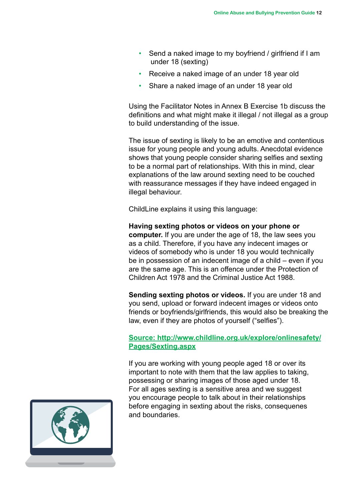- Send a naked image to my boyfriend / girlfriend if I am under 18 (sexting)
- Receive a naked image of an under 18 year old
- Share a naked image of an under 18 year old

Using the Facilitator Notes in Annex B Exercise 1b discuss the definitions and what might make it illegal / not illegal as a group to build understanding of the issue.

The issue of sexting is likely to be an emotive and contentious issue for young people and young adults. Anecdotal evidence shows that young people consider sharing selfies and sexting to be a normal part of relationships. With this in mind, clear explanations of the law around sexting need to be couched with reassurance messages if they have indeed engaged in illegal behaviour.

ChildLine explains it using this language:

**Having sexting photos or videos on your phone or computer.** If you are under the age of 18, the law sees you as a child. Therefore, if you have any indecent images or videos of somebody who is under 18 you would technically be in possession of an indecent image of a child – even if you are the same age. This is an offence under the Protection of Children Act 1978 and the Criminal Justice Act 1988.

**Sending sexting photos or videos.** If you are under 18 and you send, upload or forward indecent images or videos onto friends or boyfriends/girlfriends, this would also be breaking the law, even if they are photos of yourself ("selfies").

**Source: [http://www.childline.org.uk/explore/onlinesafety/](http://www.childline.org.uk/explore/onlinesafety/Pages/Sexting.aspx) [Pages/Sexting.aspx](http://www.childline.org.uk/explore/onlinesafety/Pages/Sexting.aspx)**

If you are working with young people aged 18 or over its important to note with them that the law applies to taking, possessing or sharing images of those aged under 18. For all ages sexting is a sensitive area and we suggest you encourage people to talk about in their relationships before engaging in sexting about the risks, consequenes and boundaries.

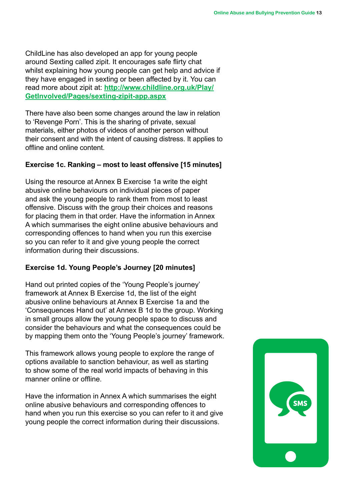ChildLine has also developed an app for young people around Sexting called zipit. It encourages safe flirty chat whilst explaining how young people can get help and advice if they have engaged in sexting or been affected by it. You can read more about zipit at: **[http://www.childline.org.uk/Play/](http://www.childline.org.uk/Play/GetInvolved/Pages/sexting-zipit-app.aspx) [GetInvolved/Pages/sexting-zipit-app.aspx](http://www.childline.org.uk/Play/GetInvolved/Pages/sexting-zipit-app.aspx)**

There have also been some changes around the law in relation to 'Revenge Porn'. This is the sharing of private, sexual materials, either photos of videos of another person without their consent and with the intent of causing distress. It applies to offline and online content.

#### **Exercise 1c. Ranking – most to least offensive [15 minutes]**

Using the resource at Annex B Exercise 1a write the eight abusive online behaviours on individual pieces of paper and ask the young people to rank them from most to least offensive. Discuss with the group their choices and reasons for placing them in that order. Have the information in Annex A which summarises the eight online abusive behaviours and corresponding offences to hand when you run this exercise so you can refer to it and give young people the correct information during their discussions.

#### **Exercise 1d. Young People's Journey [20 minutes]**

Hand out printed copies of the 'Young People's journey' framework at Annex B Exercise 1d, the list of the eight abusive online behaviours at Annex B Exercise 1a and the 'Consequences Hand out' at Annex B 1d to the group. Working in small groups allow the young people space to discuss and consider the behaviours and what the consequences could be by mapping them onto the 'Young People's journey' framework.

This framework allows young people to explore the range of options available to sanction behaviour, as well as starting to show some of the real world impacts of behaving in this manner online or offline.

Have the information in Annex A which summarises the eight online abusive behaviours and corresponding offences to hand when you run this exercise so you can refer to it and give young people the correct information during their discussions.

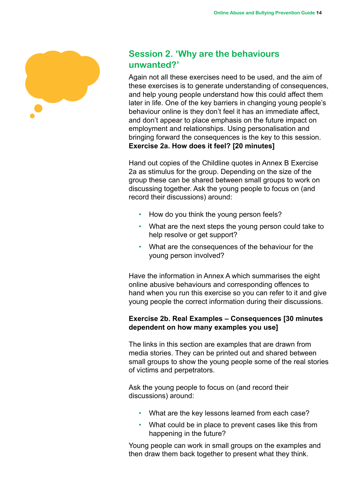

## **Session 2. 'Why are the behaviours unwanted?'**

Again not all these exercises need to be used, and the aim of these exercises is to generate understanding of consequences, and help young people understand how this could affect them later in life. One of the key barriers in changing young people's behaviour online is they don't feel it has an immediate affect, and don't appear to place emphasis on the future impact on employment and relationships. Using personalisation and bringing forward the consequences is the key to this session. **Exercise 2a. How does it feel? [20 minutes]**

Hand out copies of the Childline quotes in Annex B Exercise 2a as stimulus for the group. Depending on the size of the group these can be shared between small groups to work on discussing together. Ask the young people to focus on (and record their discussions) around:

- How do you think the young person feels?
- What are the next steps the young person could take to help resolve or get support?
- What are the consequences of the behaviour for the young person involved?

Have the information in Annex A which summarises the eight online abusive behaviours and corresponding offences to hand when you run this exercise so you can refer to it and give young people the correct information during their discussions.

#### **Exercise 2b. Real Examples – Consequences [30 minutes dependent on how many examples you use]**

The links in this section are examples that are drawn from media stories. They can be printed out and shared between small groups to show the young people some of the real stories of victims and perpetrators.

Ask the young people to focus on (and record their discussions) around:

- What are the key lessons learned from each case?
- What could be in place to prevent cases like this from happening in the future?

Young people can work in small groups on the examples and then draw them back together to present what they think.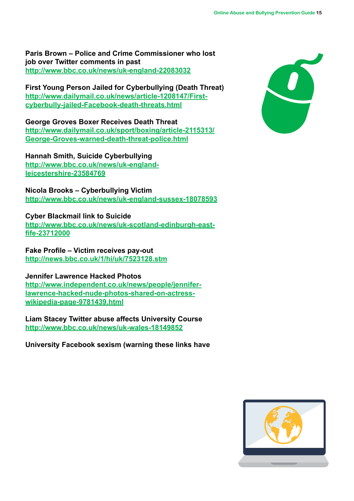**Paris Brown – Police and Crime Commissioner who lost job over Twitter comments in past [http://www.bbc.co.uk/news/uk](http://www.bbc.co.uk/news/uk-england-22083032)-england-22083032**

**First Young Person Jailed for Cyberbullying (Death Threat) [http://www.dailymail.co.uk/news/article-1208147/First](http://www.dailymail.co.uk/news/article-1208147/First-cyberbully-jailed-Facebook-death-threats.html)[cyberbully-jailed-Facebook-death-threats.html](http://www.dailymail.co.uk/news/article-1208147/First-cyberbully-jailed-Facebook-death-threats.html)**

**George Groves Boxer Receives Death Threat [http://www.dailymail.co.uk/sport/boxing/article-2115313/](http://www.dailymail.co.uk/sport/boxing/article-2115313/George-Groves-warned-death-threat-police.html) [George-Groves-warned-death-threat-police.html](http://www.dailymail.co.uk/sport/boxing/article-2115313/George-Groves-warned-death-threat-police.html)**

**Hannah Smith, Suicide Cyberbullying [http://www.bbc.co.uk/news/uk](http://www.bbc.co.uk/news/uk-england-leicestershire-23584769)-englandleicestershire-23584769**

**Nicola Brooks – Cyberbullying Victim [http://www.bbc.co.uk/news/uk](http://www.bbc.co.uk/news/uk-england-sussex-18078593)-england-sussex-18078593**

**Cyber Blackmail link to Suicide** 

**[http://www.bbc.co.uk/news/uk](http://www.bbc.co.uk/news/uk-scotland-edinburgh-east-fife-23712000)-scotland-edinburgh-eastfife-23712000**

**Fake Profile – Victim receives pay-out <http://news.bbc.co.uk/1/hi/uk/7523128.stm>**

**Jennifer Lawrence Hacked Photos [http://www.independent.co.uk/news/people/jennifer](http://www.independent.co.uk/news/people/jennifer-lawrence-hacked-nude-photos-shared-on-actress-wikipedia-page-9781439.html)[lawrence-hacked-nude-photos-shared-on-actress](http://www.independent.co.uk/news/people/jennifer-lawrence-hacked-nude-photos-shared-on-actress-wikipedia-page-9781439.html)[wikipedia-page-9781439.html](http://www.independent.co.uk/news/people/jennifer-lawrence-hacked-nude-photos-shared-on-actress-wikipedia-page-9781439.html)**

**Liam Stacey Twitter abuse affects University Course [http://www.bbc.co.uk/news/uk](http://www.bbc.co.uk/news/uk-wales-18149852)-wales-18149852**

**University Facebook sexism (warning these links have** 



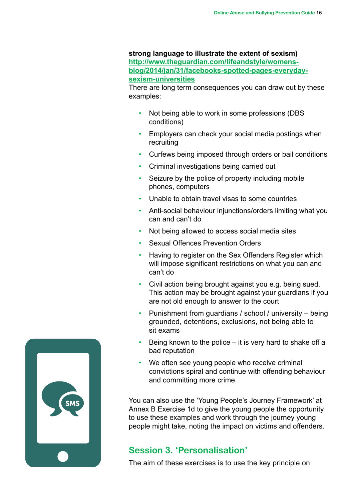#### **strong language to illustrate the extent of sexism) [http://www.theguardian.com/lifeandstyle/womens](http://www.theguardian.com/lifeandstyle/womens-blog/2014/jan/31/facebooks-spotted-pages-everyday-sexism-universities)[blog/2014/jan/31/facebooks-](http://www.theguardian.com/lifeandstyle/womens-blog/2014/jan/31/facebooks-spotted-pages-everyday-sexism-universities)spotted-pages-everydaysexism-universities**

There are long term consequences you can draw out by these examples:

- Not being able to work in some professions (DBS conditions)
- Employers can check your social media postings when recruiting
- Curfews being imposed through orders or bail conditions
- Criminal investigations being carried out
- Seizure by the police of property including mobile phones, computers
- Unable to obtain travel visas to some countries
- Anti-social behaviour injunctions/orders limiting what you can and can't do
- Not being allowed to access social media sites
- Sexual Offences Prevention Orders
- Having to register on the Sex Offenders Register which will impose significant restrictions on what you can and can't do
- Civil action being brought against you e.g. being sued. This action may be brought against your guardians if you are not old enough to answer to the court
- Punishment from guardians / school / university being grounded, detentions, exclusions, not being able to sit exams
- Being known to the police  $-$  it is very hard to shake off a bad reputation
- We often see young people who receive criminal convictions spiral and continue with offending behaviour and committing more crime

You can also use the 'Young People's Journey Framework' at Annex B Exercise 1d to give the young people the opportunity to use these examples and work through the journey young people might take, noting the impact on victims and offenders.

### **Session 3. 'Personalisation'**

The aim of these exercises is to use the key principle on

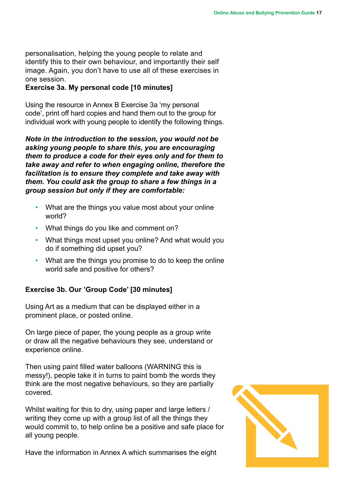personalisation, helping the young people to relate and identify this to their own behaviour, and importantly their self image. Again, you don't have to use all of these exercises in one session.

#### **Exercise 3a. My personal code [10 minutes]**

Using the resource in Annex B Exercise 3a 'my personal code', print off hard copies and hand them out to the group for individual work with young people to identify the following things.

*Note in the introduction to the session, you would not be asking young people to share this, you are encouraging them to produce a code for their eyes only and for them to take away and refer to when engaging online, therefore the facilitation is to ensure they complete and take away with them. You could ask the group to share a few things in a group session but only if they are comfortable:*

- What are the things you value most about your online world?
- What things do you like and comment on?
- What things most upset you online? And what would you do if something did upset you?
- What are the things you promise to do to keep the online world safe and positive for others?

#### **Exercise 3b. Our 'Group Code' [30 minutes]**

Using Art as a medium that can be displayed either in a prominent place, or posted online.

On large piece of paper, the young people as a group write or draw all the negative behaviours they see, understand or experience online.

Then using paint filled water balloons (WARNING this is messy!), people take it in turns to paint bomb the words they think are the most negative behaviours, so they are partially covered.

Whilst waiting for this to dry, using paper and large letters / writing they come up with a group list of all the things they would commit to, to help online be a positive and safe place for all young people.

Have the information in Annex A which summarises the eight

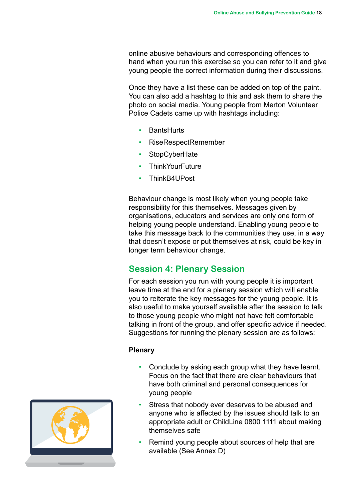online abusive behaviours and corresponding offences to hand when you run this exercise so you can refer to it and give young people the correct information during their discussions.

Once they have a list these can be added on top of the paint. You can also add a hashtag to this and ask them to share the photo on social media. Young people from Merton Volunteer Police Cadets came up with hashtags including:

- **BantsHurts**
- RiseRespectRemember
- StopCyberHate
- **ThinkYourFuture**
- ThinkB4UPost

Behaviour change is most likely when young people take responsibility for this themselves. Messages given by organisations, educators and services are only one form of helping young people understand. Enabling young people to take this message back to the communities they use, in a way that doesn't expose or put themselves at risk, could be key in longer term behaviour change.

## **Session 4: Plenary Session**

For each session you run with young people it is important leave time at the end for a plenary session which will enable you to reiterate the key messages for the young people. It is also useful to make yourself available after the session to talk to those young people who might not have felt comfortable talking in front of the group, and offer specific advice if needed. Suggestions for running the plenary session are as follows:

#### **Plenary**

- Conclude by asking each group what they have learnt. Focus on the fact that there are clear behaviours that have both criminal and personal consequences for young people
- Stress that nobody ever deserves to be abused and anyone who is affected by the issues should talk to an appropriate adult or ChildLine 0800 1111 about making themselves safe
- Remind young people about sources of help that are available (See Annex D)

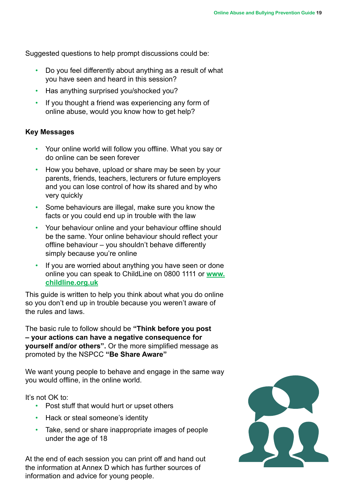Suggested questions to help prompt discussions could be:

- Do you feel differently about anything as a result of what you have seen and heard in this session?
- Has anything surprised you/shocked you?
- If you thought a friend was experiencing any form of online abuse, would you know how to get help?

#### **Key Messages**

- Your online world will follow you offline. What you say or do online can be seen forever
- How you behave, upload or share may be seen by your parents, friends, teachers, lecturers or future employers and you can lose control of how its shared and by who very quickly
- Some behaviours are illegal, make sure you know the facts or you could end up in trouble with the law
- Your behaviour online and your behaviour offline should be the same. Your online behaviour should reflect your offline behaviour – you shouldn't behave differently simply because you're online
- If you are worried about anything you have seen or done online you can speak to ChildLine on 0800 1111 or **[www.](www.childline.org.uk) [childline.org.uk](www.childline.org.uk)**

This guide is written to help you think about what you do online so you don't end up in trouble because you weren't aware of the rules and laws.

The basic rule to follow should be **"Think before you post – your actions can have a negative consequence for yourself and/or others".** Or the more simplified message as promoted by the NSPCC **"Be Share Aware"**

We want young people to behave and engage in the same way you would offline, in the online world.

It's not OK to:

- Post stuff that would hurt or upset others
- Hack or steal someone's identity
- Take, send or share inappropriate images of people under the age of 18

At the end of each session you can print off and hand out the information at Annex D which has further sources of information and advice for young people.

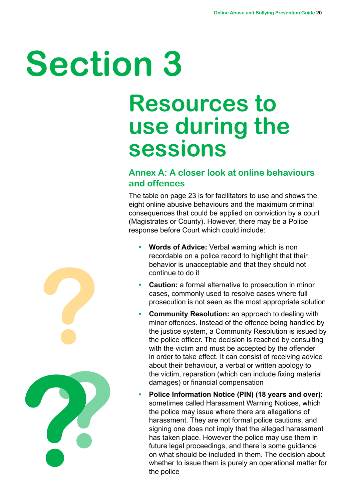# **Section 3**

# **Resources to use during the sessions**

# **Annex A: A closer look at online behaviours and offences**

The table on page 23 is for facilitators to use and shows the eight online abusive behaviours and the maximum criminal consequences that could be applied on conviction by a court (Magistrates or County). However, there may be a Police response before Court which could include:

- **• Words of Advice:** Verbal warning which is non recordable on a police record to highlight that their behavior is unacceptable and that they should not continue to do it
- **• Caution:** a formal alternative to prosecution in minor cases, commonly used to resolve cases where full prosecution is not seen as the most appropriate solution
- **• Community Resolution:** an approach to dealing with minor offences. Instead of the offence being handled by the justice system, a Community Resolution is issued by the police officer. The decision is reached by consulting with the victim and must be accepted by the offender in order to take effect. It can consist of receiving advice about their behaviour, a verbal or written apology to the victim, reparation (which can include fixing material damages) or financial compensation
- **• Police Information Notice (PIN) (18 years and over):**  sometimes called Harassment Warning Notices, which the police may issue where there are allegations of harassment. They are not formal police cautions, and signing one does not imply that the alleged harassment has taken place. However the police may use them in future legal proceedings, and there is some guidance on what should be included in them. The decision about whether to issue them is purely an operational matter for the police

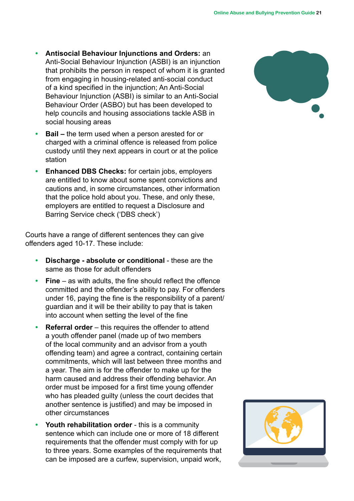- **• Antisocial Behaviour Injunctions and Orders:** an Anti-Social Behaviour Injunction (ASBI) is an injunction that prohibits the person in respect of whom it is granted from engaging in housing-related anti-social conduct of a kind specified in the injunction; An Anti-Social Behaviour Injunction (ASBI) is similar to an Anti-Social Behaviour Order (ASBO) but has been developed to help councils and housing associations tackle ASB in social housing areas
- **• Bail** the term used when a person arested for or charged with a criminal offence is released from police custody until they next appears in court or at the police station
- **• Enhanced DBS Checks:** for certain jobs, employers are entitled to know about some spent convictions and cautions and, in some circumstances, other information that the police hold about you. These, and only these, employers are entitled to request a Disclosure and Barring Service check ('DBS check')

Courts have a range of different sentences they can give offenders aged 10-17. These include:

- **• Discharge absolute or conditional** these are the same as those for adult offenders
- **• Fine**  as with adults, the fine should reflect the offence committed and the offender's ability to pay. For offenders under 16, paying the fine is the responsibility of a parent/ guardian and it will be their ability to pay that is taken into account when setting the level of the fine
- **• Referral order** this requires the offender to attend a youth offender panel (made up of two members of the local community and an advisor from a youth offending team) and agree a contract, containing certain commitments, which will last between three months and a year. The aim is for the offender to make up for the harm caused and address their offending behavior. An order must be imposed for a first time young offender who has pleaded guilty (unless the court decides that another sentence is justified) and may be imposed in other circumstances
- **• Youth rehabilitation order**  this is a community sentence which can include one or more of 18 different requirements that the offender must comply with for up to three years. Some examples of the requirements that can be imposed are a curfew, supervision, unpaid work,



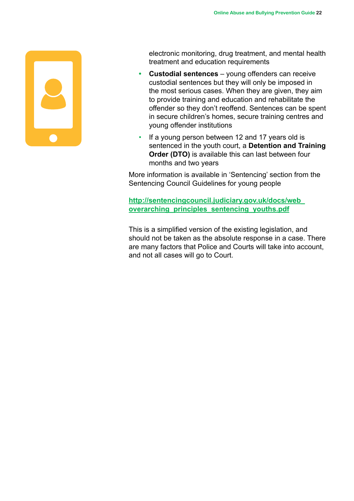

electronic monitoring, drug treatment, and mental health treatment and education requirements

- **• Custodial sentences**  young offenders can receive custodial sentences but they will only be imposed in the most serious cases. When they are given, they aim to provide training and education and rehabilitate the offender so they don't reoffend. Sentences can be spent in secure children's homes, secure training centres and young offender institutions
- If a young person between 12 and 17 years old is sentenced in the youth court, a **Detention and Training Order (DTO)** is available this can last between four months and two years

More information is available in 'Sentencing' section from the Sentencing Council Guidelines for young people

**[http://sentencingcouncil.judiciary.gov.uk/docs/web\\_](http://sentencingcouncil.judiciary.gov.uk/docs/web_overarching_principles_sentencing_youths.pdf) [overarching\\_principles\\_sentencing\\_youths.pdf](http://sentencingcouncil.judiciary.gov.uk/docs/web_overarching_principles_sentencing_youths.pdf)**

This is a simplified version of the existing legislation, and should not be taken as the absolute response in a case. There are many factors that Police and Courts will take into account, and not all cases will go to Court.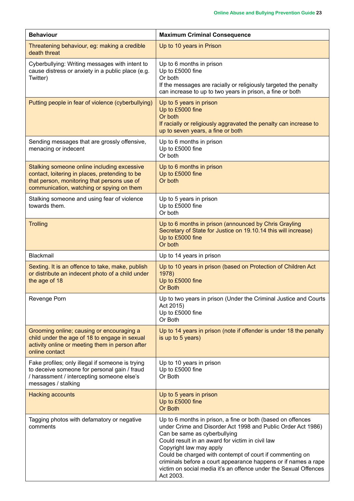| <b>Behaviour</b>                                                                                                                                                                          | <b>Maximum Criminal Consequence</b>                                                                                                                                                                                                                                                                                                                                                                                                                       |  |  |
|-------------------------------------------------------------------------------------------------------------------------------------------------------------------------------------------|-----------------------------------------------------------------------------------------------------------------------------------------------------------------------------------------------------------------------------------------------------------------------------------------------------------------------------------------------------------------------------------------------------------------------------------------------------------|--|--|
| Threatening behaviour, eg: making a credible<br>death threat                                                                                                                              | Up to 10 years in Prison                                                                                                                                                                                                                                                                                                                                                                                                                                  |  |  |
| Cyberbullying: Writing messages with intent to<br>cause distress or anxiety in a public place (e.g.<br>Twitter)                                                                           | Up to 6 months in prison<br>Up to £5000 fine<br>Or both<br>If the messages are racially or religiously targeted the penalty<br>can increase to up to two years in prison, a fine or both                                                                                                                                                                                                                                                                  |  |  |
| Putting people in fear of violence (cyberbullying)                                                                                                                                        | Up to 5 years in prison<br>Up to £5000 fine<br>Or both<br>If racially or religiously aggravated the penalty can increase to<br>up to seven years, a fine or both                                                                                                                                                                                                                                                                                          |  |  |
| Sending messages that are grossly offensive,<br>menacing or indecent                                                                                                                      | Up to 6 months in prison<br>Up to £5000 fine<br>Or both                                                                                                                                                                                                                                                                                                                                                                                                   |  |  |
| Stalking someone online including excessive<br>contact, loitering in places, pretending to be<br>that person, monitoring that persons use of<br>communication, watching or spying on them | Up to 6 months in prison<br>Up to £5000 fine<br>Or both                                                                                                                                                                                                                                                                                                                                                                                                   |  |  |
| Stalking someone and using fear of violence<br>towards them.                                                                                                                              | Up to 5 years in prison<br>Up to £5000 fine<br>Or both                                                                                                                                                                                                                                                                                                                                                                                                    |  |  |
| <b>Trolling</b>                                                                                                                                                                           | Up to 6 months in prison (announced by Chris Grayling<br>Secretary of State for Justice on 19.10.14 this will increase)<br>Up to £5000 fine<br>Or both                                                                                                                                                                                                                                                                                                    |  |  |
| <b>Blackmail</b>                                                                                                                                                                          | Up to 14 years in prison                                                                                                                                                                                                                                                                                                                                                                                                                                  |  |  |
| Sexting. It is an offence to take, make, publish<br>or distribute an indecent photo of a child under<br>the age of 18                                                                     | Up to 10 years in prison (based on Protection of Children Act<br>1978)<br>Up to £5000 fine<br>Or Both                                                                                                                                                                                                                                                                                                                                                     |  |  |
| Revenge Porn                                                                                                                                                                              | Up to two years in prison (Under the Criminal Justice and Courts<br>Act 2015)<br>Up to £5000 fine<br>Or Both                                                                                                                                                                                                                                                                                                                                              |  |  |
| Grooming online; causing or encouraging a<br>child under the age of 18 to engage in sexual<br>activity online or meeting them in person after<br>online contact                           | Up to 14 years in prison (note if offender is under 18 the penalty<br>is up to 5 years)                                                                                                                                                                                                                                                                                                                                                                   |  |  |
| Fake profiles; only illegal if someone is trying<br>to deceive someone for personal gain / fraud<br>/ harassment / intercepting someone else's<br>messages / stalking                     | Up to 10 years in prison<br>Up to £5000 fine<br>Or Both                                                                                                                                                                                                                                                                                                                                                                                                   |  |  |
| <b>Hacking accounts</b>                                                                                                                                                                   | Up to 5 years in prison<br>Up to £5000 fine<br>Or Both                                                                                                                                                                                                                                                                                                                                                                                                    |  |  |
| Tagging photos with defamatory or negative<br>comments                                                                                                                                    | Up to 6 months in prison, a fine or both (based on offences<br>under Crime and Disorder Act 1998 and Public Order Act 1986)<br>Can be same as cyberbullying<br>Could result in an award for victim in civil law<br>Copyright law may apply<br>Could be charged with contempt of court if commenting on<br>criminals before a court appearance happens or if names a rape<br>victim on social media it's an offence under the Sexual Offences<br>Act 2003. |  |  |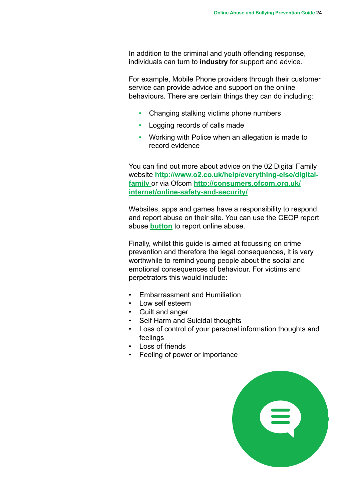In addition to the criminal and youth offending response, individuals can turn to **industry** for support and advice.

For example, Mobile Phone providers through their customer service can provide advice and support on the online behaviours. There are certain things they can do including:

- Changing stalking victims phone numbers
- Logging records of calls made
- Working with Police when an allegation is made to record evidence

You can find out more about advice on the 02 Digital Family website **[http://www.o2.co.uk/help/everything-else/digital](http://www.o2.co.uk/help/everything-else/digital-family)[family](http://www.o2.co.uk/help/everything-else/digital-family)** or via Ofcom **[http://consumers.ofcom.org.uk/](http://consumers.ofcom.org.uk/internet/online-safety-and-security/) [internet/online-safety-and-security/](http://consumers.ofcom.org.uk/internet/online-safety-and-security/)**

Websites, apps and games have a responsibility to respond and report abuse on their site. You can use the CEOP report abuse **[button](http://www.ceop.police.uk/)** to report online abuse.

Finally, whilst this guide is aimed at focussing on crime prevention and therefore the legal consequences, it is very worthwhile to remind young people about the social and emotional consequences of behaviour. For victims and perpetrators this would include:

- Embarrassment and Humiliation
- Low self esteem
- Guilt and anger
- Self Harm and Suicidal thoughts
- Loss of control of your personal information thoughts and feelings
- Loss of friends
- Feeling of power or importance

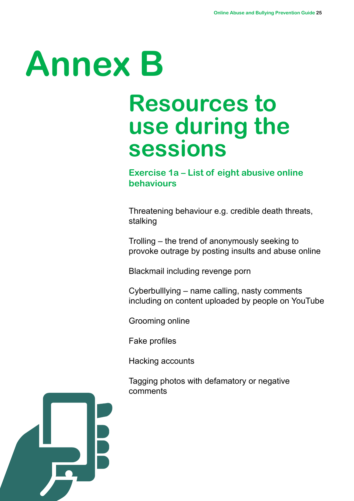# **Annex B**

# **Resources to use during the sessions**

# **Exercise 1a – List of eight abusive online behaviours**

Threatening behaviour e.g. credible death threats, stalking

Trolling – the trend of anonymously seeking to provoke outrage by posting insults and abuse online

Blackmail including revenge porn

Cyberbulllying – name calling, nasty comments including on content uploaded by people on YouTube

Grooming online

Fake profiles

Hacking accounts

Tagging photos with defamatory or negative comments

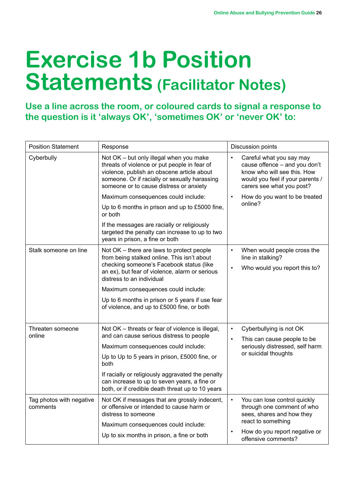# **Exercise 1b Position Statements (Facilitator Notes)**

**Use a line across the room, or coloured cards to signal a response to the question is it 'always OK', 'sometimes OK' or 'never OK' to:**

| <b>Position Statement</b>                                                                                         | Response                                                                                                                                                                                                                          | Discussion points                                                                                                                                         |  |
|-------------------------------------------------------------------------------------------------------------------|-----------------------------------------------------------------------------------------------------------------------------------------------------------------------------------------------------------------------------------|-----------------------------------------------------------------------------------------------------------------------------------------------------------|--|
| Cyberbully                                                                                                        | Not OK - but only illegal when you make<br>threats of violence or put people in fear of<br>violence, publish an obscene article about<br>someone. Or if racially or sexually harassing<br>someone or to cause distress or anxiety | Careful what you say may<br>cause offence - and you don't<br>know who will see this. How<br>would you feel if your parents /<br>carers see what you post? |  |
|                                                                                                                   | Maximum consequences could include:                                                                                                                                                                                               | How do you want to be treated                                                                                                                             |  |
|                                                                                                                   | Up to 6 months in prison and up to £5000 fine,<br>or both                                                                                                                                                                         | online?                                                                                                                                                   |  |
|                                                                                                                   | If the messages are racially or religiously<br>targeted the penalty can increase to up to two<br>years in prison, a fine or both                                                                                                  |                                                                                                                                                           |  |
| Stalk someone on line<br>Not OK - there are laws to protect people<br>from being stalked online. This isn't about |                                                                                                                                                                                                                                   | When would people cross the<br>line in stalking?                                                                                                          |  |
|                                                                                                                   | checking someone's Facebook status (like<br>an ex), but fear of violence, alarm or serious<br>distress to an individual                                                                                                           | Who would you report this to?<br>$\bullet$                                                                                                                |  |
|                                                                                                                   | Maximum consequences could include:                                                                                                                                                                                               |                                                                                                                                                           |  |
|                                                                                                                   | Up to 6 months in prison or 5 years if use fear<br>of violence, and up to £5000 fine, or both                                                                                                                                     |                                                                                                                                                           |  |
| Threaten someone<br>online                                                                                        | Not OK - threats or fear of violence is illegal,<br>and can cause serious distress to people                                                                                                                                      | Cyberbullying is not OK<br>$\bullet$<br>This can cause people to be                                                                                       |  |
|                                                                                                                   | Maximum consequences could include:                                                                                                                                                                                               | seriously distressed, self harm                                                                                                                           |  |
|                                                                                                                   | Up to Up to 5 years in prison, £5000 fine, or<br>both                                                                                                                                                                             | or suicidal thoughts                                                                                                                                      |  |
|                                                                                                                   | If racially or religiously aggravated the penalty<br>can increase to up to seven years, a fine or<br>both, or if credible death threat up to 10 years                                                                             |                                                                                                                                                           |  |
| Tag photos with negative<br>comments                                                                              | Not OK if messages that are grossly indecent,<br>or offensive or intended to cause harm or<br>distress to someone                                                                                                                 | You can lose control quickly<br>$\bullet$<br>through one comment of who<br>sees, shares and how they                                                      |  |
|                                                                                                                   | Maximum consequences could include:                                                                                                                                                                                               | react to something                                                                                                                                        |  |
|                                                                                                                   | Up to six months in prison, a fine or both                                                                                                                                                                                        | How do you report negative or<br>offensive comments?                                                                                                      |  |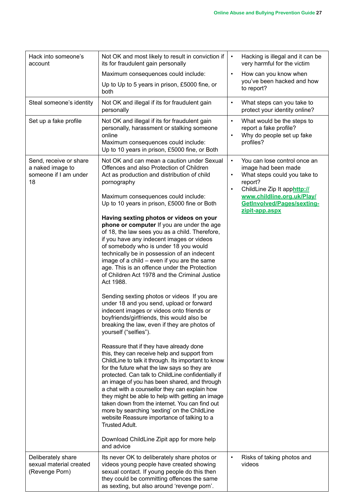| Hack into someone's<br>Not OK and most likely to result in conviction if<br>its for fraudulent gain personally<br>account |                                                                                                                                                                                                                                                                                                                                                                                                                                                                                                                                                                                                                                                                                                                                                                                                                                                                                                                                                                                                                                                                                                                                                                                                                                                                                                                                                                                                                                                                                                                                                | $\bullet$              | Hacking is illegal and it can be<br>very harmful for the victim                                                                                                                                             |
|---------------------------------------------------------------------------------------------------------------------------|------------------------------------------------------------------------------------------------------------------------------------------------------------------------------------------------------------------------------------------------------------------------------------------------------------------------------------------------------------------------------------------------------------------------------------------------------------------------------------------------------------------------------------------------------------------------------------------------------------------------------------------------------------------------------------------------------------------------------------------------------------------------------------------------------------------------------------------------------------------------------------------------------------------------------------------------------------------------------------------------------------------------------------------------------------------------------------------------------------------------------------------------------------------------------------------------------------------------------------------------------------------------------------------------------------------------------------------------------------------------------------------------------------------------------------------------------------------------------------------------------------------------------------------------|------------------------|-------------------------------------------------------------------------------------------------------------------------------------------------------------------------------------------------------------|
|                                                                                                                           | Maximum consequences could include:                                                                                                                                                                                                                                                                                                                                                                                                                                                                                                                                                                                                                                                                                                                                                                                                                                                                                                                                                                                                                                                                                                                                                                                                                                                                                                                                                                                                                                                                                                            | $\bullet$              | How can you know when                                                                                                                                                                                       |
|                                                                                                                           | Up to Up to 5 years in prison, £5000 fine, or<br>both                                                                                                                                                                                                                                                                                                                                                                                                                                                                                                                                                                                                                                                                                                                                                                                                                                                                                                                                                                                                                                                                                                                                                                                                                                                                                                                                                                                                                                                                                          |                        | you've been hacked and how<br>to report?                                                                                                                                                                    |
| Steal someone's identity                                                                                                  | Not OK and illegal if its for fraudulent gain<br>personally                                                                                                                                                                                                                                                                                                                                                                                                                                                                                                                                                                                                                                                                                                                                                                                                                                                                                                                                                                                                                                                                                                                                                                                                                                                                                                                                                                                                                                                                                    | $\bullet$              | What steps can you take to<br>protect your identity online?                                                                                                                                                 |
| Set up a fake profile                                                                                                     | Not OK and illegal if its for fraudulent gain<br>personally, harassment or stalking someone<br>online<br>Maximum consequences could include:<br>Up to 10 years in prison, £5000 fine, or Both                                                                                                                                                                                                                                                                                                                                                                                                                                                                                                                                                                                                                                                                                                                                                                                                                                                                                                                                                                                                                                                                                                                                                                                                                                                                                                                                                  | $\bullet$              | What would be the steps to<br>report a fake profile?<br>Why do people set up fake<br>profiles?                                                                                                              |
| Send, receive or share<br>a naked image to<br>someone if I am under<br>18                                                 | Not OK and can mean a caution under Sexual<br>Offences and also Protection of Children<br>Act as production and distribution of child<br>pornography<br>Maximum consequences could include:<br>Up to 10 years in prison, £5000 fine or Both<br>Having sexting photos or videos on your<br>phone or computer If you are under the age<br>of 18, the law sees you as a child. Therefore,<br>if you have any indecent images or videos<br>of somebody who is under 18 you would<br>technically be in possession of an indecent<br>image of a child – even if you are the same<br>age. This is an offence under the Protection<br>of Children Act 1978 and the Criminal Justice<br>Act 1988.<br>Sending sexting photos or videos If you are<br>under 18 and you send, upload or forward<br>indecent images or videos onto friends or<br>boyfriends/girlfriends, this would also be<br>breaking the law, even if they are photos of<br>yourself ("selfies").<br>Reassure that if they have already done<br>this, they can receive help and support from<br>ChildLine to talk it through. Its important to know<br>for the future what the law says so they are<br>protected. Can talk to ChildLine confidentially if<br>an image of you has been shared, and through<br>a chat with a counsellor they can explain how<br>they might be able to help with getting an image<br>taken down from the internet. You can find out<br>more by searching 'sexting' on the ChildLine<br>website Reassure importance of talking to a<br><b>Trusted Adult.</b> | $\bullet$<br>$\bullet$ | You can lose control once an<br>image had been made<br>What steps could you take to<br>report?<br>ChildLine Zip It apphttp://<br>www.childline.org.uk/Play/<br>GetInvolved/Pages/sexting-<br>zipit-app.aspx |
|                                                                                                                           | Download ChildLine Zipit app for more help<br>and advice                                                                                                                                                                                                                                                                                                                                                                                                                                                                                                                                                                                                                                                                                                                                                                                                                                                                                                                                                                                                                                                                                                                                                                                                                                                                                                                                                                                                                                                                                       |                        |                                                                                                                                                                                                             |
| Deliberately share<br>sexual material created<br>(Revenge Porn)                                                           | Its never OK to deliberately share photos or<br>videos young people have created showing<br>sexual contact. If young people do this then<br>they could be committing offences the same<br>as sexting, but also around 'revenge porn'.                                                                                                                                                                                                                                                                                                                                                                                                                                                                                                                                                                                                                                                                                                                                                                                                                                                                                                                                                                                                                                                                                                                                                                                                                                                                                                          |                        | Risks of taking photos and<br>videos                                                                                                                                                                        |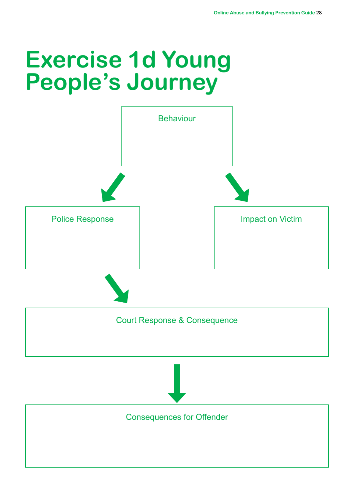# **Exercise 1d Young People's Journey**

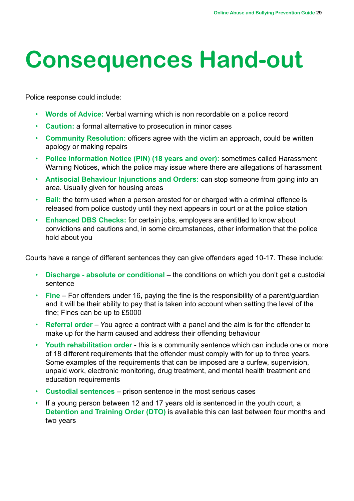# **Consequences Hand-out**

Police response could include:

- **Words of Advice:** Verbal warning which is non recordable on a police record
- **Caution:** a formal alternative to prosecution in minor cases
- **Community Resolution:** officers agree with the victim an approach, could be written apology or making repairs
- **Police Information Notice (PIN) (18 years and over):** sometimes called Harassment Warning Notices, which the police may issue where there are allegations of harassment
- **Antisocial Behaviour Injunctions and Orders:** can stop someone from going into an area. Usually given for housing areas
- **Bail:** the term used when a person arested for or charged with a criminal offence is released from police custody until they next appears in court or at the police station
- **Enhanced DBS Checks:** for certain jobs, employers are entitled to know about convictions and cautions and, in some circumstances, other information that the police hold about you

Courts have a range of different sentences they can give offenders aged 10-17. These include:

- **Discharge absolute or conditional** the conditions on which you don't get a custodial sentence
- **Fine** For offenders under 16, paying the fine is the responsibility of a parent/guardian and it will be their ability to pay that is taken into account when setting the level of the fine; Fines can be up to £5000
- **Referral order** You agree a contract with a panel and the aim is for the offender to make up for the harm caused and address their offending behaviour
- **Youth rehabilitation order**  this is a community sentence which can include one or more of 18 different requirements that the offender must comply with for up to three years. Some examples of the requirements that can be imposed are a curfew, supervision, unpaid work, electronic monitoring, drug treatment, and mental health treatment and education requirements
- **Custodial sentences**  prison sentence in the most serious cases
- If a young person between 12 and 17 years old is sentenced in the youth court, a **Detention and Training Order (DTO)** is available this can last between four months and two years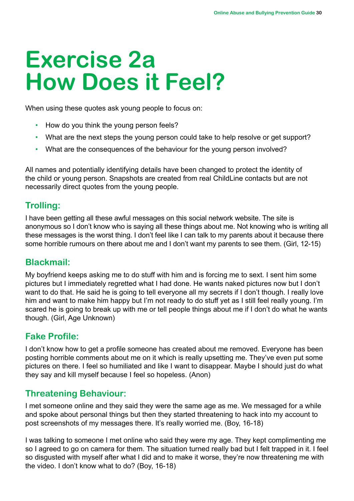# **Exercise 2a How Does it Feel?**

When using these quotes ask young people to focus on:

- How do you think the young person feels?
- What are the next steps the young person could take to help resolve or get support?
- What are the consequences of the behaviour for the young person involved?

All names and potentially identifying details have been changed to protect the identity of the child or young person. Snapshots are created from real ChildLine contacts but are not necessarily direct quotes from the young people.

## **Trolling:**

I have been getting all these awful messages on this social network website. The site is anonymous so I don't know who is saying all these things about me. Not knowing who is writing all these messages is the worst thing. I don't feel like I can talk to my parents about it because there some horrible rumours on there about me and I don't want my parents to see them. (Girl, 12-15)

## **Blackmail:**

My boyfriend keeps asking me to do stuff with him and is forcing me to sext. I sent him some pictures but I immediately regretted what I had done. He wants naked pictures now but I don't want to do that. He said he is going to tell everyone all my secrets if I don't though. I really love him and want to make him happy but I'm not ready to do stuff yet as I still feel really young. I'm scared he is going to break up with me or tell people things about me if I don't do what he wants though. (Girl, Age Unknown)

# **Fake Profile:**

I don't know how to get a profile someone has created about me removed. Everyone has been posting horrible comments about me on it which is really upsetting me. They've even put some pictures on there. I feel so humiliated and like I want to disappear. Maybe I should just do what they say and kill myself because I feel so hopeless. (Anon)

# **Threatening Behaviour:**

I met someone online and they said they were the same age as me. We messaged for a while and spoke about personal things but then they started threatening to hack into my account to post screenshots of my messages there. It's really worried me. (Boy, 16-18)

I was talking to someone I met online who said they were my age. They kept complimenting me so I agreed to go on camera for them. The situation turned really bad but I felt trapped in it. I feel so disgusted with myself after what I did and to make it worse, they're now threatening me with the video. I don't know what to do? (Boy, 16-18)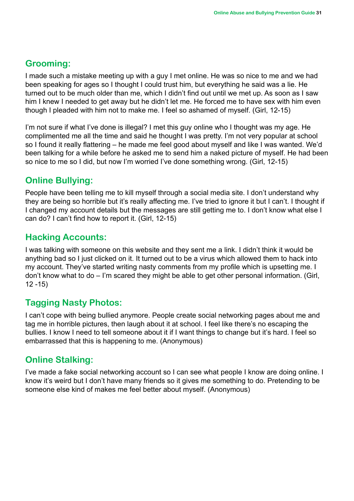## **Grooming:**

I made such a mistake meeting up with a guy I met online. He was so nice to me and we had been speaking for ages so I thought I could trust him, but everything he said was a lie. He turned out to be much older than me, which I didn't find out until we met up. As soon as I saw him I knew I needed to get away but he didn't let me. He forced me to have sex with him even though I pleaded with him not to make me. I feel so ashamed of myself. (Girl, 12-15)

I'm not sure if what I've done is illegal? I met this guy online who I thought was my age. He complimented me all the time and said he thought I was pretty. I'm not very popular at school so I found it really flattering – he made me feel good about myself and like I was wanted. We'd been talking for a while before he asked me to send him a naked picture of myself. He had been so nice to me so I did, but now I'm worried I've done something wrong. (Girl, 12-15)

## **Online Bullying:**

People have been telling me to kill myself through a social media site. I don't understand why they are being so horrible but it's really affecting me. I've tried to ignore it but I can't. I thought if I changed my account details but the messages are still getting me to. I don't know what else I can do? I can't find how to report it. (Girl, 12-15)

## **Hacking Accounts:**

I was talking with someone on this website and they sent me a link. I didn't think it would be anything bad so I just clicked on it. It turned out to be a virus which allowed them to hack into my account. They've started writing nasty comments from my profile which is upsetting me. I don't know what to do – I'm scared they might be able to get other personal information. (Girl,  $12 - 15$ 

## **Tagging Nasty Photos:**

I can't cope with being bullied anymore. People create social networking pages about me and tag me in horrible pictures, then laugh about it at school. I feel like there's no escaping the bullies. I know I need to tell someone about it if I want things to change but it's hard. I feel so embarrassed that this is happening to me. (Anonymous)

# **Online Stalking:**

I've made a fake social networking account so I can see what people I know are doing online. I know it's weird but I don't have many friends so it gives me something to do. Pretending to be someone else kind of makes me feel better about myself. (Anonymous)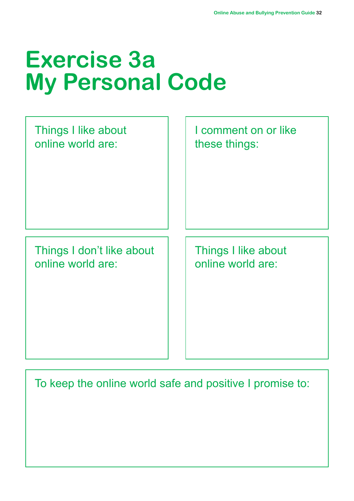# **Exercise 3a My Personal Code**

Things I don't like about online world are:

Things I like about

online world are:

I comment on or like these things:

Things I like about online world are:

To keep the online world safe and positive I promise to: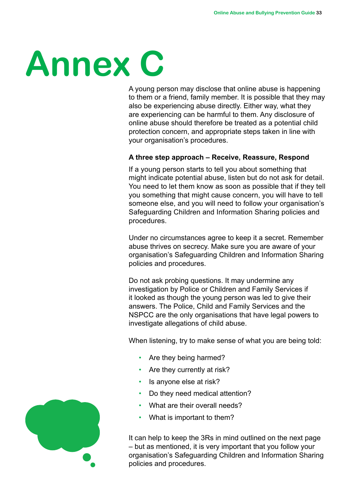# **Annex C**

A young person may disclose that online abuse is happening to them or a friend, family member. It is possible that they may also be experiencing abuse directly. Either way, what they are experiencing can be harmful to them. Any disclosure of online abuse should therefore be treated as a potential child protection concern, and appropriate steps taken in line with your organisation's procedures.

#### **A three step approach – Receive, Reassure, Respond**

If a young person starts to tell you about something that might indicate potential abuse, listen but do not ask for detail. You need to let them know as soon as possible that if they tell you something that might cause concern, you will have to tell someone else, and you will need to follow your organisation's Safeguarding Children and Information Sharing policies and procedures.

Under no circumstances agree to keep it a secret. Remember abuse thrives on secrecy. Make sure you are aware of your organisation's Safeguarding Children and Information Sharing policies and procedures.

Do not ask probing questions. It may undermine any investigation by Police or Children and Family Services if it looked as though the young person was led to give their answers. The Police, Child and Family Services and the NSPCC are the only organisations that have legal powers to investigate allegations of child abuse.

When listening, try to make sense of what you are being told:

- Are they being harmed?
- Are they currently at risk?
- Is anyone else at risk?
- Do they need medical attention?
- What are their overall needs?
- What is important to them?

It can help to keep the 3Rs in mind outlined on the next page – but as mentioned, it is very important that you follow your organisation's Safeguarding Children and Information Sharing policies and procedures.

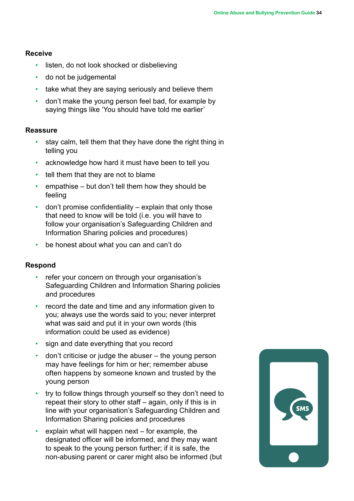#### **Receive**

- listen, do not look shocked or disbelieving
- do not be judgemental
- take what they are saying seriously and believe them
- don't make the young person feel bad, for example by saying things like 'You should have told me earlier'

#### **Reassure**

- stay calm, tell them that they have done the right thing in telling you
- acknowledge how hard it must have been to tell you
- tell them that they are not to blame
- empathise but don't tell them how they should be feeling
- don't promise confidentiality explain that only those that need to know will be told (i.e. you will have to follow your organisation's Safeguarding Children and Information Sharing policies and procedures)
- be honest about what you can and can't do

#### **Respond**

- refer your concern on through your organisation's Safeguarding Children and Information Sharing policies and procedures
- record the date and time and any information given to you; always use the words said to you; never interpret what was said and put it in your own words (this information could be used as evidence)
- sign and date everything that you record
- don't criticise or judge the abuser the young person may have feelings for him or her; remember abuse often happens by someone known and trusted by the young person
- try to follow things through yourself so they don't need to repeat their story to other staff – again, only if this is in line with your organisation's Safeguarding Children and Information Sharing policies and procedures
- $\cdot$  explain what will happen next for example, the designated officer will be informed, and they may want to speak to the young person further; if it is safe, the non-abusing parent or carer might also be informed (but

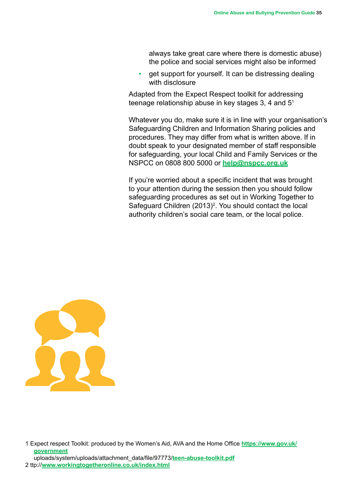always take great care where there is domestic abuse) the police and social services might also be informed

• get support for yourself. It can be distressing dealing with disclosure

Adapted from the Expect Respect toolkit for addressing teenage relationship abuse in key stages 3, 4 and 51

Whatever you do, make sure it is in line with your organisation's Safeguarding Children and Information Sharing policies and procedures. They may differ from what is written above. If in doubt speak to your designated member of staff responsible for safeguarding, your local Child and Family Services or the NSPCC on 0808 800 5000 or **[help@nspcc.org.uk](mailto:help@nspcc.org.uk)**

If you're worried about a specific incident that was brought to your attention during the session then you should follow safeguarding procedures as set out in Working Together to Safeguard Children  $(2013)^2$ . You should contact the local authority children's social care team, or the local police.



1 Expect respect Toolkit: produced by the Women's Aid, AVA and the Home Office **[https://www.gov.uk/](https://www.gov.uk/government) [government](https://www.gov.uk/government)** uploads/system/uploads/attachment\_data/file/97773/**<teen-abuse-toolkit.pdf>**

2 ttp://**<www.workingtogetheronline.co.uk/index.html>**